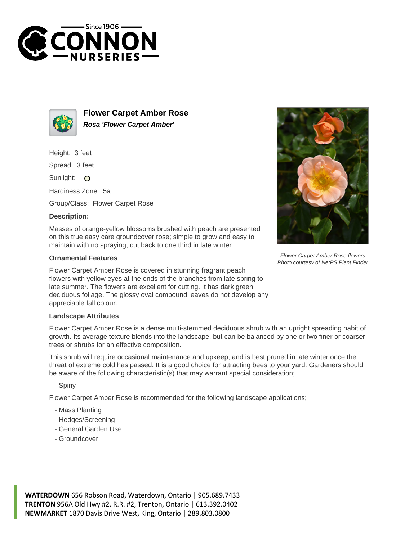



**Flower Carpet Amber Rose Rosa 'Flower Carpet Amber'**

Height: 3 feet

Spread: 3 feet

Sunlight: O

Hardiness Zone: 5a

Group/Class: Flower Carpet Rose

## **Description:**

Masses of orange-yellow blossoms brushed with peach are presented on this true easy care groundcover rose; simple to grow and easy to maintain with no spraying; cut back to one third in late winter

## **Ornamental Features**

Flower Carpet Amber Rose is covered in stunning fragrant peach flowers with yellow eyes at the ends of the branches from late spring to late summer. The flowers are excellent for cutting. It has dark green deciduous foliage. The glossy oval compound leaves do not develop any appreciable fall colour.

## **Landscape Attributes**

Flower Carpet Amber Rose is a dense multi-stemmed deciduous shrub with an upright spreading habit of growth. Its average texture blends into the landscape, but can be balanced by one or two finer or coarser trees or shrubs for an effective composition.

This shrub will require occasional maintenance and upkeep, and is best pruned in late winter once the threat of extreme cold has passed. It is a good choice for attracting bees to your yard. Gardeners should be aware of the following characteristic(s) that may warrant special consideration;

- Spiny

Flower Carpet Amber Rose is recommended for the following landscape applications;

- Mass Planting
- Hedges/Screening
- General Garden Use
- Groundcover





Flower Carpet Amber Rose flowers Photo courtesy of NetPS Plant Finder